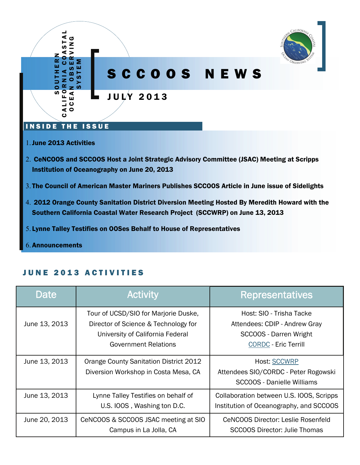

- 3. The Council of American Master Mariners Publishes SCCOOS Article in June issue of Sidelights
- 2012 Orange County Sanitation District Diversion Meeting Hosted By Meredith Howard with the Southern California Coastal Water Research Project (SCCWRP) on June 13, 2013
- Lynne Talley Testifies on OOSes Behalf to House of Representatives
- Announcements

| Date          | <b>Activity</b>                                                                                                                                 | <b>Representatives</b>                                                                                                    |
|---------------|-------------------------------------------------------------------------------------------------------------------------------------------------|---------------------------------------------------------------------------------------------------------------------------|
| June 13, 2013 | Tour of UCSD/SIO for Marjorie Duske,<br>Director of Science & Technology for<br>University of California Federal<br><b>Government Relations</b> | Host: SIO - Trisha Tacke<br>Attendees: CDIP - Andrew Gray<br><b>SCCOOS - Darren Wright</b><br><b>CORDC - Eric Terrill</b> |
| June 13, 2013 | Orange County Sanitation District 2012<br>Diversion Workshop in Costa Mesa, CA                                                                  | <b>Host: SCCWRP</b><br>Attendees SIO/CORDC - Peter Rogowski<br><b>SCCOOS - Danielle Williams</b>                          |
| June 13, 2013 | Lynne Talley Testifies on behalf of<br>U.S. IOOS, Washing ton D.C.                                                                              | Collaboration between U.S. IOOS, Scripps<br>Institution of Oceanography, and SCCOOS                                       |
| June 20, 2013 | CeNCOOS & SCCOOS JSAC meeting at SIO<br>Campus in La Jolla, CA                                                                                  | CeNCOOS Director: Leslie Rosenfeld<br>SCCOOS Director: Julie Thomas                                                       |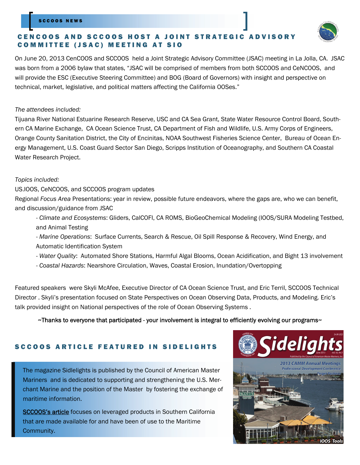### SCCOOS NEWS

## CENCOOS AND SCCOOS HOST A JOINT STRATEGIC ADVISORY COMMITTEE (JSAC) MEETING AT SIO



On June 20, 2013 CenCOOS and SCCOOS held a Joint Strategic Advisory Committee (JSAC) meeting in La Jolla, CA. JSAC was born from a 2006 bylaw that states, "JSAC will be comprised of members from both SCCOOS and CeNCOOS, and will provide the ESC (Executive Steering Committee) and BOG (Board of Governors) with insight and perspective on technical, market, legislative, and political matters affecting the California OOSes."

## *The attendees included:*

Tijuana River National Estuarine Research Reserve, USC and CA Sea Grant, State Water Resource Control Board, Southern CA Marine Exchange, CA Ocean Science Trust, CA Department of Fish and Wildlife, U.S. Army Corps of Engineers, Orange County Sanitation District, the City of Encinitas, NOAA Southwest Fisheries Science Center, Bureau of Ocean Energy Management, U.S. Coast Guard Sector San Diego, Scripps Institution of Oceanography, and Southern CA Coastal Water Research Project.

## *Topics included:*

US.IOOS, CeNCOOS, and SCCOOS program updates

Regional *Focus Area* Presentations: year in review, possible future endeavors, where the gaps are, who we can benefit, and discussion/guidance from JSAC

- *Climate and Ecosystems*: Gliders, CalCOFI, CA ROMS, BioGeoChemical Modeling (IOOS/SURA Modeling Testbed, and Animal Testing
- *Marine Operations*: Surface Currents, Search & Rescue, Oil Spill Response & Recovery, Wind Energy, and Automatic Identification System
- *Water Quality*: Automated Shore Stations, Harmful Algal Blooms, Ocean Acidification, and Bight 13 involvement
- *Coastal Hazards*: Nearshore Circulation, Waves, Coastal Erosion, Inundation/Overtopping

Featured speakers were Skyli McAfee, Executive Director of CA Ocean Science Trust, and Eric Terril, SCCOOS Technical Director . Skyli's presentation focused on State Perspectives on Ocean Observing Data, Products, and Modeling. Eric's talk provided insight on National perspectives of the role of Ocean Observing Systems .

## $\sim$ Thanks to everyone that participated - your involvement is integral to efficiently evolving our programs $\sim$

## SCCOOS ARTICLE FEATURED IN SIDELIGHTS

The magazine Sidlelights is published by the Council of American Master Mariners and is dedicated to supporting and strengthening the U.S. Merchant Marine and the position of the Master by fostering the exchange of maritime information.

[SCCOOS's article](http://www.mastermariner.org/sidelights/Sidelights_June2013.pdf) focuses on leveraged products in Southern California that are made available for and have been of use to the Maritime Community.

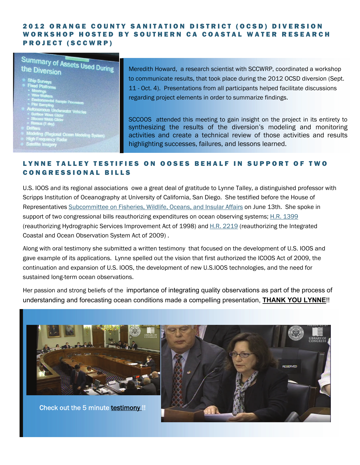## 2012 ORANGE COUNTY SANITATION DISTRICT (OCSD) DIVERSION WORKSHOP HOSTED BY SOUTHERN CA COASTAL WATER RESEARCH PROJECT (SCCWRP)

## **Summary of Assets Used During**<br>the Diversion the Diversion

- 
- 
- 
- 
- 
- 
- 
- 
- 
- 

Meredith Howard, a research scientist with SCCWRP, coordinated a workshop to communicate results, that took place during the 2012 OCSD diversion (Sept. 11 - Oct. 4). Presentations from all participants helped facilitate discussions regarding project elements in order to summarize findings.

SCCOOS attended this meeting to gain insight on the project in its entirety to synthesizing the results of the diversion's modeling and monitoring activities and create a technical review of those activities and results highlighting successes, failures, and lessons learned.

## LYNNE TALLEY TESTIFIES ON OOSES BEHALF IN SUPPORT OF TWO CONGRESSIONAL BILLS

U.S. IOOS and its regional associations owe a great deal of gratitude to Lynne Talley, a distinguished professor with Scripps Institution of Oceanography at University of California, San Diego. She testified before the House of Representatives [Subcommittee on Fisheries, Wildlife, Oceans, and Insular Affairs](http://naturalresources.house.gov/subcommittees/subcommittee/?SubcommitteeID=5063) on June 13th. She spoke in support of two congressional bills reauthorizing expenditures on ocean observing systems; [H.R. 1399](http://thomas.loc.gov/home/gpoxmlc113/h1399_ih.xml) (reauthorizing Hydrographic Services Improvement Act of 1998) and [H.R. 2219](http://thomas.loc.gov/home/gpoxmlc113/h2219_ih.xml) (reauthorizing the Integrated Coastal and Ocean Observation System Act of 2009) .

Along with oral testimony she submitted a written testimony that focused on the development of U.S. IOOS and gave example of its applications. Lynne spelled out the vision that first authorized the ICOOS Act of 2009, the continuation and expansion of U.S. IOOS, the development of new U.S.IOOS technologies, and the need for sustained long-term ocean observations.

Her passion and strong beliefs of the importance of integrating quality observations as part of the process of understanding and forecasting ocean conditions made a compelling presentation, **THANK YOU LYNNE**!!



Check out the 5 minute [testimony](http://www.ustream.tv/recorded/34280147/highlight/372147?utm_campaign=explorations.ucsd.edu&utm_source=372147&utm_medium=social) !!